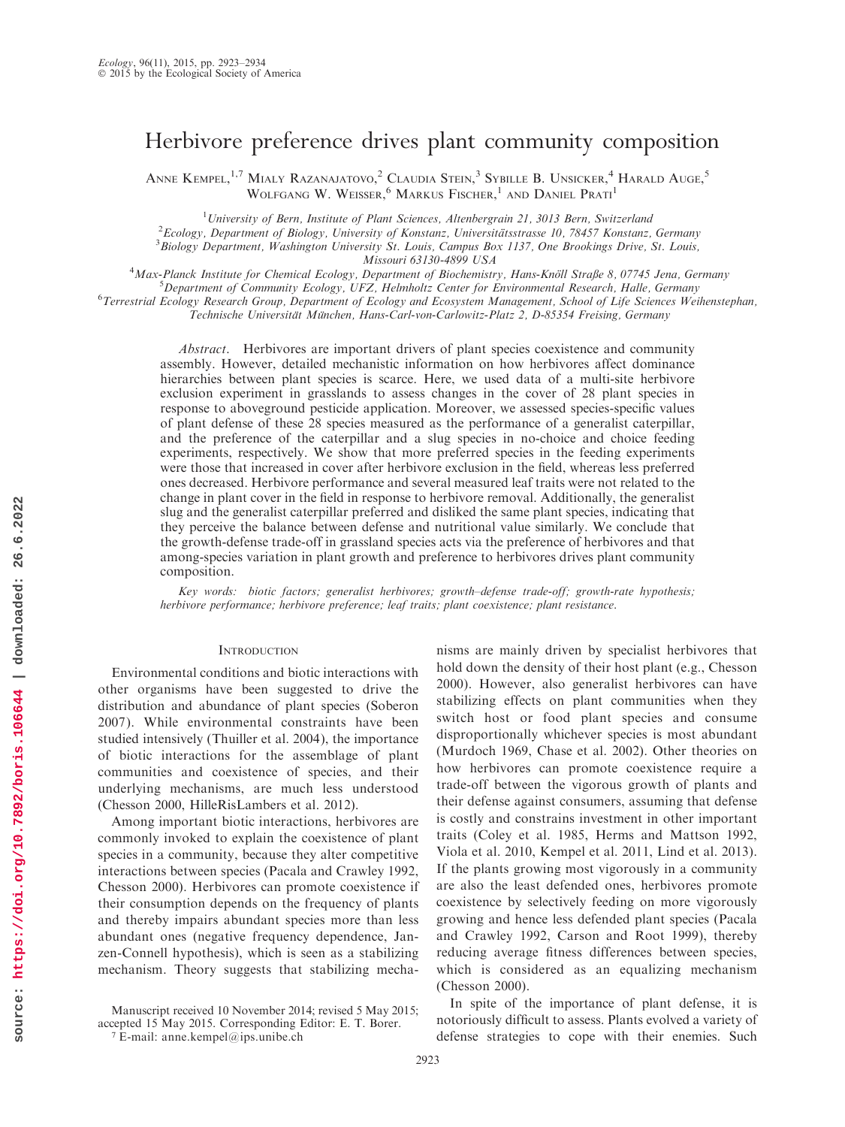# Herbivore preference drives plant community composition

ANNE KEMPEL,<sup>1,7</sup> MIALY RAZANAJATOVO,<sup>2</sup> CLAUDIA STEIN,<sup>3</sup> SYBILLE B. UNSICKER,<sup>4</sup> HARALD AUGE,<sup>5</sup> WOLFGANG W. WEISSER, MARKUS FISCHER, <sup>1</sup> AND DANIEL PRATI<sup>1</sup>

<sup>1</sup> University of Bern, Institute of Plant Sciences, Altenbergrain 21, 3013 Bern, Switzerland<br><sup>2</sup> Ecology, Department of Biology, University of Konstant, Universitätestrasse 10, 79457, Konstant  $e^2$ Ecology, Department of Biology, University of Konstanz, Universitätsstrasse 10, 78457 Konstanz, Germany  ${}^{3}$ Biology Department, Washington University St. Louis, Campus Box 1137, One Brookings Drive, St. Louis,<br>Missouri 63130-4899 USA Missouri 63130-4899 USA <sup>4</sup>

Max-Planck Institute for Chemical Ecology, Department of Biochemistry, Hans-Knöll Straße 8, 07745 Jena, Germany<br>S Department of Community Ecology, UEZ, Helmholtz Center for Environmental Research, Halle, Germany  ${}^{5}$ Department of Community Ecology, UFZ, Helmholtz Center for Environmental Research, Halle, Germany

<sup>6</sup>Terrestrial Ecology Research Group, Department of Ecology and Ecosystem Management, School of Life Sciences Weihenstephan,

Technische Universität München, Hans-Carl-von-Carlowitz-Platz 2, D-85354 Freising, Germany

Abstract. Herbivores are important drivers of plant species coexistence and community assembly. However, detailed mechanistic information on how herbivores affect dominance hierarchies between plant species is scarce. Here, we used data of a multi-site herbivore exclusion experiment in grasslands to assess changes in the cover of 28 plant species in response to aboveground pesticide application. Moreover, we assessed species-specific values of plant defense of these 28 species measured as the performance of a generalist caterpillar, and the preference of the caterpillar and a slug species in no-choice and choice feeding experiments, respectively. We show that more preferred species in the feeding experiments were those that increased in cover after herbivore exclusion in the field, whereas less preferred ones decreased. Herbivore performance and several measured leaf traits were not related to the change in plant cover in the field in response to herbivore removal. Additionally, the generalist slug and the generalist caterpillar preferred and disliked the same plant species, indicating that they perceive the balance between defense and nutritional value similarly. We conclude that the growth-defense trade-off in grassland species acts via the preference of herbivores and that among-species variation in plant growth and preference to herbivores drives plant community composition.

Key words: biotic factors; generalist herbivores; growth–defense trade-off; growth-rate hypothesis; herbivore performance; herbivore preference; leaf traits; plant coexistence; plant resistance.

## **INTRODUCTION**

Environmental conditions and biotic interactions with other organisms have been suggested to drive the distribution and abundance of plant species (Soberon 2007). While environmental constraints have been studied intensively (Thuiller et al. 2004), the importance of biotic interactions for the assemblage of plant communities and coexistence of species, and their underlying mechanisms, are much less understood (Chesson 2000, HilleRisLambers et al. 2012).

Among important biotic interactions, herbivores are commonly invoked to explain the coexistence of plant species in a community, because they alter competitive interactions between species (Pacala and Crawley 1992, Chesson 2000). Herbivores can promote coexistence if their consumption depends on the frequency of plants and thereby impairs abundant species more than less abundant ones (negative frequency dependence, Janzen-Connell hypothesis), which is seen as a stabilizing mechanism. Theory suggests that stabilizing mecha-

<sup>7</sup> E-mail: anne.kempel@ips.unibe.ch

nisms are mainly driven by specialist herbivores that hold down the density of their host plant (e.g., Chesson 2000). However, also generalist herbivores can have stabilizing effects on plant communities when they switch host or food plant species and consume disproportionally whichever species is most abundant (Murdoch 1969, Chase et al. 2002). Other theories on how herbivores can promote coexistence require a trade-off between the vigorous growth of plants and their defense against consumers, assuming that defense is costly and constrains investment in other important traits (Coley et al. 1985, Herms and Mattson 1992, Viola et al. 2010, Kempel et al. 2011, Lind et al. 2013). If the plants growing most vigorously in a community are also the least defended ones, herbivores promote coexistence by selectively feeding on more vigorously growing and hence less defended plant species (Pacala and Crawley 1992, Carson and Root 1999), thereby reducing average fitness differences between species, which is considered as an equalizing mechanism (Chesson 2000).

In spite of the importance of plant defense, it is notoriously difficult to assess. Plants evolved a variety of defense strategies to cope with their enemies. Such

Manuscript received 10 November 2014; revised 5 May 2015; accepted 15 May 2015. Corresponding Editor: E. T. Borer.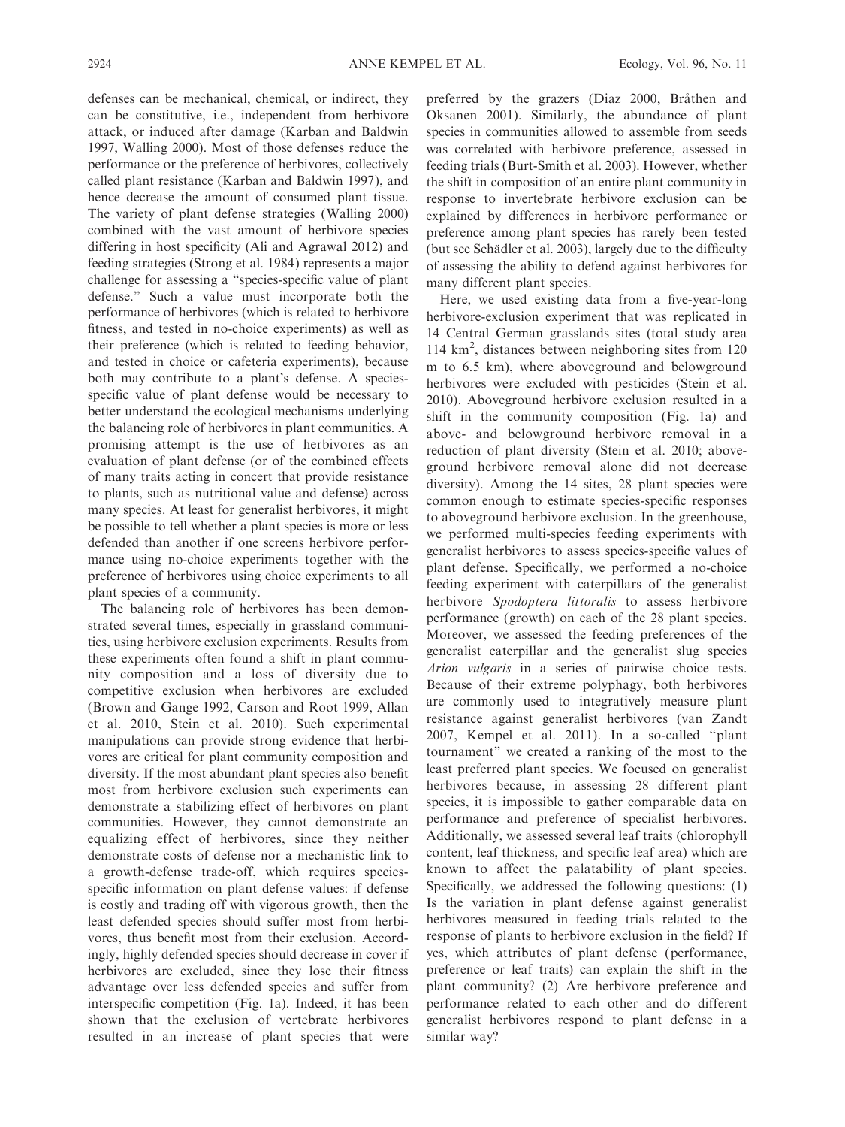defenses can be mechanical, chemical, or indirect, they can be constitutive, i.e., independent from herbivore attack, or induced after damage (Karban and Baldwin 1997, Walling 2000). Most of those defenses reduce the performance or the preference of herbivores, collectively called plant resistance (Karban and Baldwin 1997), and hence decrease the amount of consumed plant tissue. The variety of plant defense strategies (Walling 2000) combined with the vast amount of herbivore species differing in host specificity (Ali and Agrawal 2012) and feeding strategies (Strong et al. 1984) represents a major challenge for assessing a ''species-specific value of plant defense.'' Such a value must incorporate both the performance of herbivores (which is related to herbivore fitness, and tested in no-choice experiments) as well as their preference (which is related to feeding behavior, and tested in choice or cafeteria experiments), because both may contribute to a plant's defense. A speciesspecific value of plant defense would be necessary to better understand the ecological mechanisms underlying the balancing role of herbivores in plant communities. A promising attempt is the use of herbivores as an evaluation of plant defense (or of the combined effects of many traits acting in concert that provide resistance to plants, such as nutritional value and defense) across many species. At least for generalist herbivores, it might be possible to tell whether a plant species is more or less defended than another if one screens herbivore performance using no-choice experiments together with the preference of herbivores using choice experiments to all plant species of a community.

The balancing role of herbivores has been demonstrated several times, especially in grassland communities, using herbivore exclusion experiments. Results from these experiments often found a shift in plant community composition and a loss of diversity due to competitive exclusion when herbivores are excluded (Brown and Gange 1992, Carson and Root 1999, Allan et al. 2010, Stein et al. 2010). Such experimental manipulations can provide strong evidence that herbivores are critical for plant community composition and diversity. If the most abundant plant species also benefit most from herbivore exclusion such experiments can demonstrate a stabilizing effect of herbivores on plant communities. However, they cannot demonstrate an equalizing effect of herbivores, since they neither demonstrate costs of defense nor a mechanistic link to a growth-defense trade-off, which requires speciesspecific information on plant defense values: if defense is costly and trading off with vigorous growth, then the least defended species should suffer most from herbivores, thus benefit most from their exclusion. Accordingly, highly defended species should decrease in cover if herbivores are excluded, since they lose their fitness advantage over less defended species and suffer from interspecific competition (Fig. 1a). Indeed, it has been shown that the exclusion of vertebrate herbivores resulted in an increase of plant species that were preferred by the grazers (Diaz 2000, Bråthen and Oksanen 2001). Similarly, the abundance of plant species in communities allowed to assemble from seeds was correlated with herbivore preference, assessed in feeding trials (Burt-Smith et al. 2003). However, whether the shift in composition of an entire plant community in response to invertebrate herbivore exclusion can be explained by differences in herbivore performance or preference among plant species has rarely been tested (but see Schädler et al. 2003), largely due to the difficulty of assessing the ability to defend against herbivores for many different plant species.

Here, we used existing data from a five-year-long herbivore-exclusion experiment that was replicated in 14 Central German grasslands sites (total study area 114 km<sup>2</sup> , distances between neighboring sites from 120 m to 6.5 km), where aboveground and belowground herbivores were excluded with pesticides (Stein et al. 2010). Aboveground herbivore exclusion resulted in a shift in the community composition (Fig. 1a) and above- and belowground herbivore removal in a reduction of plant diversity (Stein et al. 2010; aboveground herbivore removal alone did not decrease diversity). Among the 14 sites, 28 plant species were common enough to estimate species-specific responses to aboveground herbivore exclusion. In the greenhouse, we performed multi-species feeding experiments with generalist herbivores to assess species-specific values of plant defense. Specifically, we performed a no-choice feeding experiment with caterpillars of the generalist herbivore Spodoptera littoralis to assess herbivore performance (growth) on each of the 28 plant species. Moreover, we assessed the feeding preferences of the generalist caterpillar and the generalist slug species Arion vulgaris in a series of pairwise choice tests. Because of their extreme polyphagy, both herbivores are commonly used to integratively measure plant resistance against generalist herbivores (van Zandt 2007, Kempel et al. 2011). In a so-called ''plant tournament'' we created a ranking of the most to the least preferred plant species. We focused on generalist herbivores because, in assessing 28 different plant species, it is impossible to gather comparable data on performance and preference of specialist herbivores. Additionally, we assessed several leaf traits (chlorophyll content, leaf thickness, and specific leaf area) which are known to affect the palatability of plant species. Specifically, we addressed the following questions: (1) Is the variation in plant defense against generalist herbivores measured in feeding trials related to the response of plants to herbivore exclusion in the field? If yes, which attributes of plant defense (performance, preference or leaf traits) can explain the shift in the plant community? (2) Are herbivore preference and performance related to each other and do different generalist herbivores respond to plant defense in a similar way?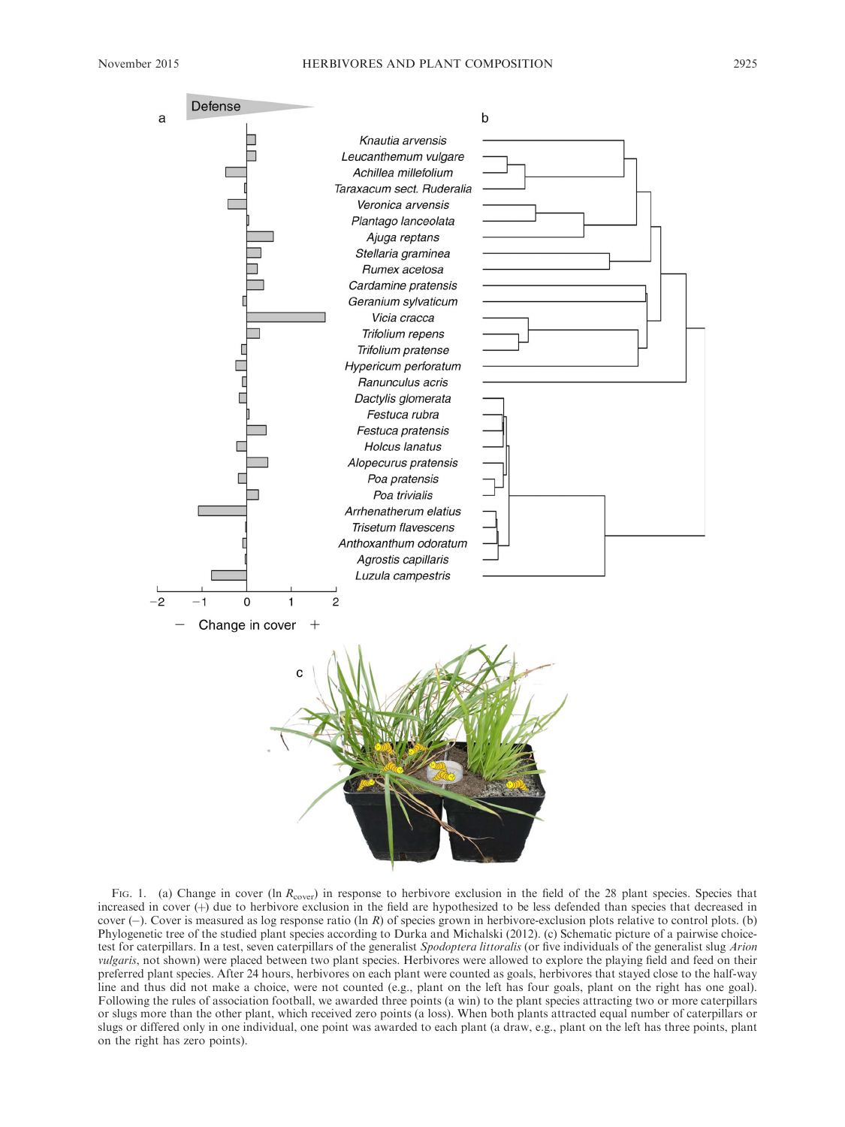

FIG. 1. (a) Change in cover (ln  $R_{\text{cover}}$ ) in response to herbivore exclusion in the field of the 28 plant species. Species that increased in cover (+) due to herbivore exclusion in the field are hypothesized to be less defended than species that decreased in cover  $(-)$ . Cover is measured as log response ratio (ln R) of species grown in herbivore-exclusion plots relative to control plots. (b) Phylogenetic tree of the studied plant species according to Durka and Michalski (2012). (c) Schematic picture of a pairwise choicetest for caterpillars. In a test, seven caterpillars of the generalist Spodoptera littoralis (or five individuals of the generalist slug Arion vulgaris, not shown) were placed between two plant species. Herbivores were allowed to explore the playing field and feed on their preferred plant species. After 24 hours, herbivores on each plant were counted as goals, herbivores that stayed close to the half-way line and thus did not make a choice, were not counted (e.g., plant on the left has four goals, plant on the right has one goal). Following the rules of association football, we awarded three points (a win) to the plant species attracting two or more caterpillars or slugs more than the other plant, which received zero points (a loss). When both plants attracted equal number of caterpillars or slugs or differed only in one individual, one point was awarded to each plant (a draw, e.g., plant on the left has three points, plant on the right has zero points).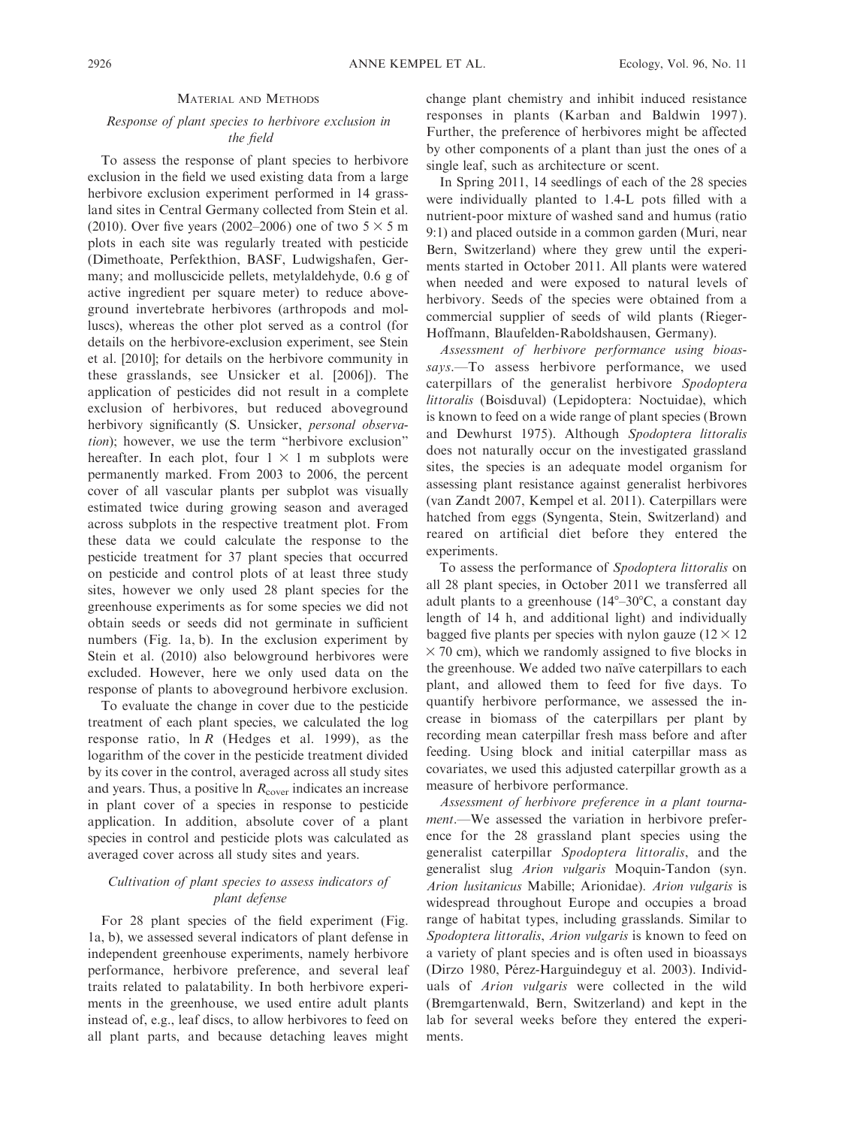#### MATERIAL AND METHODS

# Response of plant species to herbivore exclusion in the field

To assess the response of plant species to herbivore exclusion in the field we used existing data from a large herbivore exclusion experiment performed in 14 grassland sites in Central Germany collected from Stein et al. (2010). Over five years (2002–2006) one of two  $5 \times 5$  m plots in each site was regularly treated with pesticide (Dimethoate, Perfekthion, BASF, Ludwigshafen, Germany; and molluscicide pellets, metylaldehyde, 0.6 g of active ingredient per square meter) to reduce aboveground invertebrate herbivores (arthropods and molluscs), whereas the other plot served as a control (for details on the herbivore-exclusion experiment, see Stein et al. [2010]; for details on the herbivore community in these grasslands, see Unsicker et al. [2006]). The application of pesticides did not result in a complete exclusion of herbivores, but reduced aboveground herbivory significantly (S. Unsicker, personal observation); however, we use the term ''herbivore exclusion'' hereafter. In each plot, four  $1 \times 1$  m subplots were permanently marked. From 2003 to 2006, the percent cover of all vascular plants per subplot was visually estimated twice during growing season and averaged across subplots in the respective treatment plot. From these data we could calculate the response to the pesticide treatment for 37 plant species that occurred on pesticide and control plots of at least three study sites, however we only used 28 plant species for the greenhouse experiments as for some species we did not obtain seeds or seeds did not germinate in sufficient numbers (Fig. 1a, b). In the exclusion experiment by Stein et al. (2010) also belowground herbivores were excluded. However, here we only used data on the response of plants to aboveground herbivore exclusion.

To evaluate the change in cover due to the pesticide treatment of each plant species, we calculated the log response ratio,  $\ln R$  (Hedges et al. 1999), as the logarithm of the cover in the pesticide treatment divided by its cover in the control, averaged across all study sites and years. Thus, a positive  $\ln R_{\text{cover}}$  indicates an increase in plant cover of a species in response to pesticide application. In addition, absolute cover of a plant species in control and pesticide plots was calculated as averaged cover across all study sites and years.

# Cultivation of plant species to assess indicators of plant defense

For 28 plant species of the field experiment (Fig. 1a, b), we assessed several indicators of plant defense in independent greenhouse experiments, namely herbivore performance, herbivore preference, and several leaf traits related to palatability. In both herbivore experiments in the greenhouse, we used entire adult plants instead of, e.g., leaf discs, to allow herbivores to feed on all plant parts, and because detaching leaves might change plant chemistry and inhibit induced resistance responses in plants (Karban and Baldwin 1997). Further, the preference of herbivores might be affected by other components of a plant than just the ones of a single leaf, such as architecture or scent.

In Spring 2011, 14 seedlings of each of the 28 species were individually planted to 1.4-L pots filled with a nutrient-poor mixture of washed sand and humus (ratio 9:1) and placed outside in a common garden (Muri, near Bern, Switzerland) where they grew until the experiments started in October 2011. All plants were watered when needed and were exposed to natural levels of herbivory. Seeds of the species were obtained from a commercial supplier of seeds of wild plants (Rieger-Hoffmann, Blaufelden-Raboldshausen, Germany).

Assessment of herbivore performance using bioassays.-To assess herbivore performance, we used caterpillars of the generalist herbivore Spodoptera littoralis (Boisduval) (Lepidoptera: Noctuidae), which is known to feed on a wide range of plant species (Brown and Dewhurst 1975). Although Spodoptera littoralis does not naturally occur on the investigated grassland sites, the species is an adequate model organism for assessing plant resistance against generalist herbivores (van Zandt 2007, Kempel et al. 2011). Caterpillars were hatched from eggs (Syngenta, Stein, Switzerland) and reared on artificial diet before they entered the experiments.

To assess the performance of Spodoptera littoralis on all 28 plant species, in October 2011 we transferred all adult plants to a greenhouse  $(14^{\circ}-30^{\circ}C, a constant day)$ length of 14 h, and additional light) and individually bagged five plants per species with nylon gauze  $(12 \times 12)$  $\times$  70 cm), which we randomly assigned to five blocks in the greenhouse. We added two naïve caterpillars to each plant, and allowed them to feed for five days. To quantify herbivore performance, we assessed the increase in biomass of the caterpillars per plant by recording mean caterpillar fresh mass before and after feeding. Using block and initial caterpillar mass as covariates, we used this adjusted caterpillar growth as a measure of herbivore performance.

Assessment of herbivore preference in a plant tournament.—We assessed the variation in herbivore preference for the 28 grassland plant species using the generalist caterpillar Spodoptera littoralis, and the generalist slug Arion vulgaris Moquin-Tandon (syn. Arion lusitanicus Mabille; Arionidae). Arion vulgaris is widespread throughout Europe and occupies a broad range of habitat types, including grasslands. Similar to Spodoptera littoralis, Arion vulgaris is known to feed on a variety of plant species and is often used in bioassays (Dirzo 1980, Pérez-Harguindeguy et al. 2003). Individuals of Arion vulgaris were collected in the wild (Bremgartenwald, Bern, Switzerland) and kept in the lab for several weeks before they entered the experiments.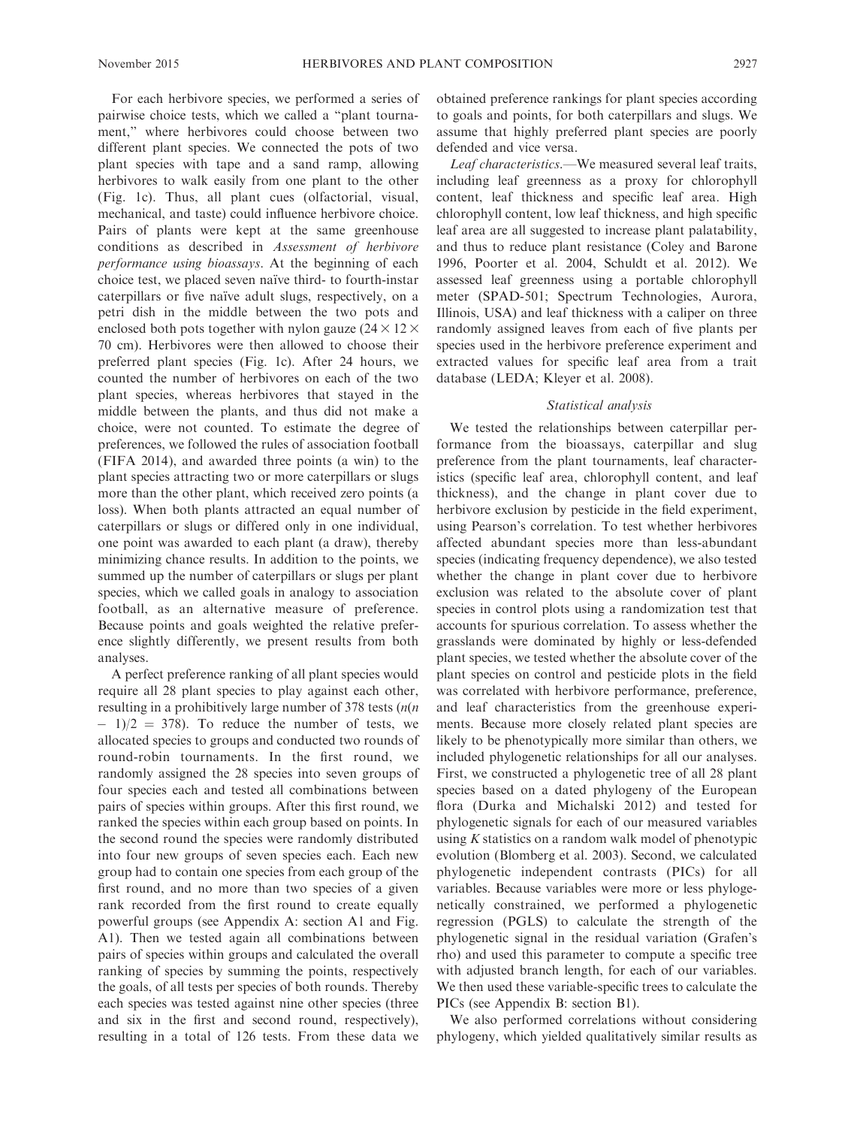For each herbivore species, we performed a series of pairwise choice tests, which we called a ''plant tournament,'' where herbivores could choose between two different plant species. We connected the pots of two plant species with tape and a sand ramp, allowing herbivores to walk easily from one plant to the other (Fig. 1c). Thus, all plant cues (olfactorial, visual, mechanical, and taste) could influence herbivore choice. Pairs of plants were kept at the same greenhouse conditions as described in Assessment of herbivore performance using bioassays. At the beginning of each choice test, we placed seven naïve third- to fourth-instar caterpillars or five naïve adult slugs, respectively, on a petri dish in the middle between the two pots and enclosed both pots together with nylon gauze ( $24 \times 12 \times$ 70 cm). Herbivores were then allowed to choose their preferred plant species (Fig. 1c). After 24 hours, we counted the number of herbivores on each of the two plant species, whereas herbivores that stayed in the middle between the plants, and thus did not make a choice, were not counted. To estimate the degree of preferences, we followed the rules of association football (FIFA 2014), and awarded three points (a win) to the plant species attracting two or more caterpillars or slugs more than the other plant, which received zero points (a loss). When both plants attracted an equal number of caterpillars or slugs or differed only in one individual, one point was awarded to each plant (a draw), thereby minimizing chance results. In addition to the points, we summed up the number of caterpillars or slugs per plant species, which we called goals in analogy to association football, as an alternative measure of preference. Because points and goals weighted the relative preference slightly differently, we present results from both analyses.

A perfect preference ranking of all plant species would require all 28 plant species to play against each other, resulting in a prohibitively large number of 378 tests  $(n(n)$  $-1/2 = 378$ . To reduce the number of tests, we allocated species to groups and conducted two rounds of round-robin tournaments. In the first round, we randomly assigned the 28 species into seven groups of four species each and tested all combinations between pairs of species within groups. After this first round, we ranked the species within each group based on points. In the second round the species were randomly distributed into four new groups of seven species each. Each new group had to contain one species from each group of the first round, and no more than two species of a given rank recorded from the first round to create equally powerful groups (see Appendix A: section A1 and Fig. A1). Then we tested again all combinations between pairs of species within groups and calculated the overall ranking of species by summing the points, respectively the goals, of all tests per species of both rounds. Thereby each species was tested against nine other species (three and six in the first and second round, respectively), resulting in a total of 126 tests. From these data we obtained preference rankings for plant species according to goals and points, for both caterpillars and slugs. We assume that highly preferred plant species are poorly defended and vice versa.

Leaf characteristics.—We measured several leaf traits, including leaf greenness as a proxy for chlorophyll content, leaf thickness and specific leaf area. High chlorophyll content, low leaf thickness, and high specific leaf area are all suggested to increase plant palatability, and thus to reduce plant resistance (Coley and Barone 1996, Poorter et al. 2004, Schuldt et al. 2012). We assessed leaf greenness using a portable chlorophyll meter (SPAD-501; Spectrum Technologies, Aurora, Illinois, USA) and leaf thickness with a caliper on three randomly assigned leaves from each of five plants per species used in the herbivore preference experiment and extracted values for specific leaf area from a trait database (LEDA; Kleyer et al. 2008).

# Statistical analysis

We tested the relationships between caterpillar performance from the bioassays, caterpillar and slug preference from the plant tournaments, leaf characteristics (specific leaf area, chlorophyll content, and leaf thickness), and the change in plant cover due to herbivore exclusion by pesticide in the field experiment, using Pearson's correlation. To test whether herbivores affected abundant species more than less-abundant species (indicating frequency dependence), we also tested whether the change in plant cover due to herbivore exclusion was related to the absolute cover of plant species in control plots using a randomization test that accounts for spurious correlation. To assess whether the grasslands were dominated by highly or less-defended plant species, we tested whether the absolute cover of the plant species on control and pesticide plots in the field was correlated with herbivore performance, preference, and leaf characteristics from the greenhouse experiments. Because more closely related plant species are likely to be phenotypically more similar than others, we included phylogenetic relationships for all our analyses. First, we constructed a phylogenetic tree of all 28 plant species based on a dated phylogeny of the European flora (Durka and Michalski 2012) and tested for phylogenetic signals for each of our measured variables using  $K$  statistics on a random walk model of phenotypic evolution (Blomberg et al. 2003). Second, we calculated phylogenetic independent contrasts (PICs) for all variables. Because variables were more or less phylogenetically constrained, we performed a phylogenetic regression (PGLS) to calculate the strength of the phylogenetic signal in the residual variation (Grafen's rho) and used this parameter to compute a specific tree with adjusted branch length, for each of our variables. We then used these variable-specific trees to calculate the PICs (see Appendix B: section B1).

We also performed correlations without considering phylogeny, which yielded qualitatively similar results as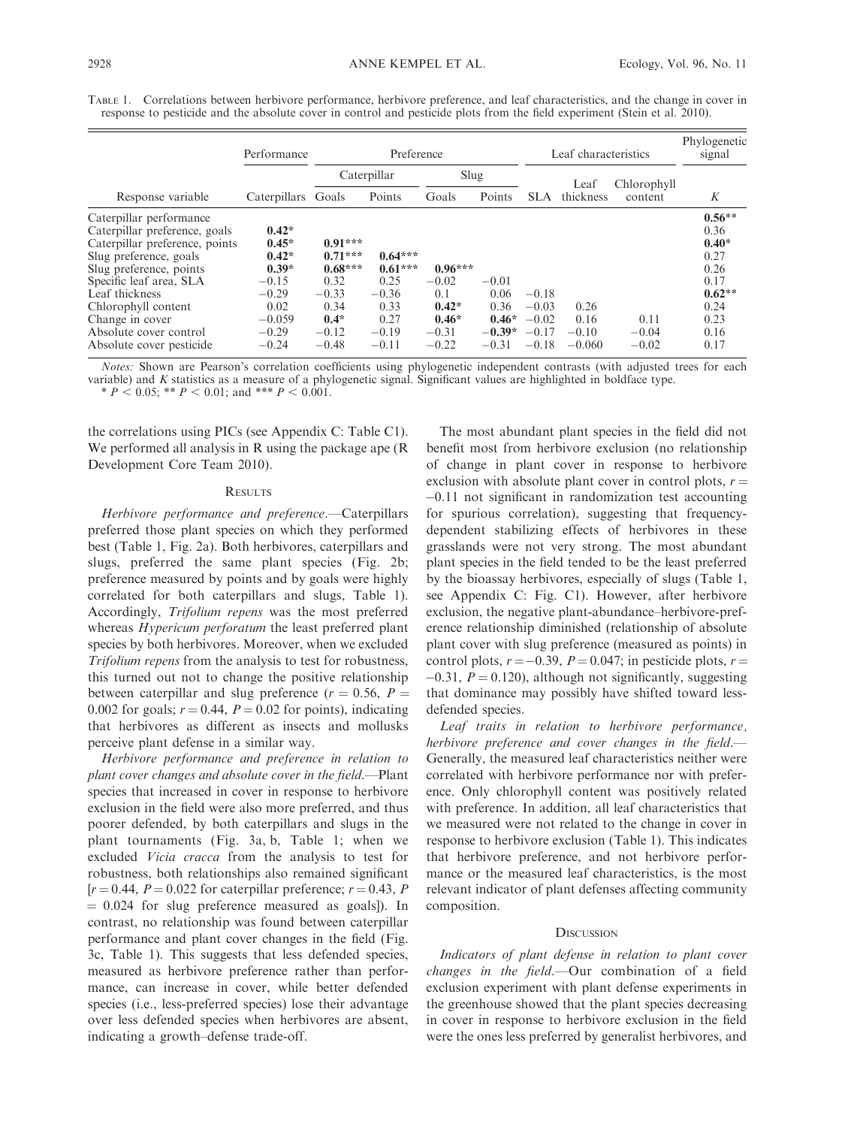|                                                                                                                                                                                                                                                                                              | Performance                                                                                              | Preference                                                                                     |                                                                                 |                                                                         |                                                           | Leaf characteristics                                |                                     |                            | Phylogenetic<br>signal                                                                          |
|----------------------------------------------------------------------------------------------------------------------------------------------------------------------------------------------------------------------------------------------------------------------------------------------|----------------------------------------------------------------------------------------------------------|------------------------------------------------------------------------------------------------|---------------------------------------------------------------------------------|-------------------------------------------------------------------------|-----------------------------------------------------------|-----------------------------------------------------|-------------------------------------|----------------------------|-------------------------------------------------------------------------------------------------|
|                                                                                                                                                                                                                                                                                              |                                                                                                          | Caterpillar                                                                                    |                                                                                 | Slug                                                                    |                                                           |                                                     | Leaf                                | Chlorophyll                |                                                                                                 |
| Response variable                                                                                                                                                                                                                                                                            | Caterpillars Goals                                                                                       |                                                                                                | Points                                                                          | Goals                                                                   | Points                                                    | SLA                                                 | thickness                           | content                    | K                                                                                               |
| Caterpillar performance<br>Caterpillar preference, goals<br>Caterpillar preference, points<br>Slug preference, goals<br>Slug preference, points<br>Specific leaf area, SLA<br>Leaf thickness<br>Chlorophyll content<br>Change in cover<br>Absolute cover control<br>Absolute cover pesticide | $0.42*$<br>$0.45*$<br>$0.42*$<br>$0.39*$<br>$-0.15$<br>$-0.29$<br>0.02<br>$-0.059$<br>$-0.29$<br>$-0.24$ | $0.91***$<br>$0.71***$<br>$0.68***$<br>0.32<br>$-0.33$<br>0.34<br>$0.4*$<br>$-0.12$<br>$-0.48$ | $0.64***$<br>$0.61***$<br>0.25<br>$-0.36$<br>0.33<br>0.27<br>$-0.19$<br>$-0.11$ | $0.96***$<br>$-0.02$<br>0.1<br>$0.42*$<br>$0.46*$<br>$-0.31$<br>$-0.22$ | $-0.01$<br>0.06<br>0.36<br>$0.46*$<br>$-0.39*$<br>$-0.31$ | $-0.18$<br>$-0.03$<br>$-0.02$<br>$-0.17$<br>$-0.18$ | 0.26<br>0.16<br>$-0.10$<br>$-0.060$ | 0.11<br>$-0.04$<br>$-0.02$ | $0.56**$<br>0.36<br>$0.40*$<br>0.27<br>0.26<br>0.17<br>$0.62**$<br>0.24<br>0.23<br>0.16<br>0.17 |

TABLE 1. Correlations between herbivore performance, herbivore preference, and leaf characteristics, and the change in cover in response to pesticide and the absolute cover in control and pesticide plots from the field experiment (Stein et al. 2010).

Notes: Shown are Pearson's correlation coefficients using phylogenetic independent contrasts (with adjusted trees for each variable) and K statistics as a measure of a phylogenetic signal. Significant values are highlighted in boldface type. \*  $P < 0.05$ ; \*\*  $P < 0.01$ ; and \*\*\*  $P < 0.001$ .

the correlations using PICs (see Appendix C: Table C1). We performed all analysis in R using the package ape (R Development Core Team 2010).

#### **RESULTS**

Herbivore performance and preference.—Caterpillars preferred those plant species on which they performed best (Table 1, Fig. 2a). Both herbivores, caterpillars and slugs, preferred the same plant species (Fig. 2b; preference measured by points and by goals were highly correlated for both caterpillars and slugs, Table 1). Accordingly, Trifolium repens was the most preferred whereas *Hypericum perforatum* the least preferred plant species by both herbivores. Moreover, when we excluded Trifolium repens from the analysis to test for robustness, this turned out not to change the positive relationship between caterpillar and slug preference ( $r = 0.56$ ,  $P =$ 0.002 for goals;  $r = 0.44$ ,  $P = 0.02$  for points), indicating that herbivores as different as insects and mollusks perceive plant defense in a similar way.

Herbivore performance and preference in relation to plant cover changes and absolute cover in the field.—Plant species that increased in cover in response to herbivore exclusion in the field were also more preferred, and thus poorer defended, by both caterpillars and slugs in the plant tournaments (Fig. 3a, b, Table 1; when we excluded Vicia cracca from the analysis to test for robustness, both relationships also remained significant  $[r = 0.44, P = 0.022$  for caterpillar preference;  $r = 0.43, P$  $= 0.024$  for slug preference measured as goals]). In contrast, no relationship was found between caterpillar performance and plant cover changes in the field (Fig. 3c, Table 1). This suggests that less defended species, measured as herbivore preference rather than performance, can increase in cover, while better defended species (i.e., less-preferred species) lose their advantage over less defended species when herbivores are absent, indicating a growth–defense trade-off.

The most abundant plant species in the field did not benefit most from herbivore exclusion (no relationship of change in plant cover in response to herbivore exclusion with absolute plant cover in control plots,  $r =$ -0.11 not significant in randomization test accounting for spurious correlation), suggesting that frequencydependent stabilizing effects of herbivores in these grasslands were not very strong. The most abundant plant species in the field tended to be the least preferred by the bioassay herbivores, especially of slugs (Table 1, see Appendix C: Fig. C1). However, after herbivore exclusion, the negative plant-abundance–herbivore-preference relationship diminished (relationship of absolute plant cover with slug preference (measured as points) in control plots,  $r = -0.39$ ,  $P = 0.047$ ; in pesticide plots,  $r =$  $-0.31$ ,  $P = 0.120$ ), although not significantly, suggesting that dominance may possibly have shifted toward lessdefended species.

Leaf traits in relation to herbivore performance, herbivore preference and cover changes in the field.— Generally, the measured leaf characteristics neither were correlated with herbivore performance nor with preference. Only chlorophyll content was positively related with preference. In addition, all leaf characteristics that we measured were not related to the change in cover in response to herbivore exclusion (Table 1). This indicates that herbivore preference, and not herbivore performance or the measured leaf characteristics, is the most relevant indicator of plant defenses affecting community composition.

#### **DISCUSSION**

Indicators of plant defense in relation to plant cover changes in the field.—Our combination of a field exclusion experiment with plant defense experiments in the greenhouse showed that the plant species decreasing in cover in response to herbivore exclusion in the field were the ones less preferred by generalist herbivores, and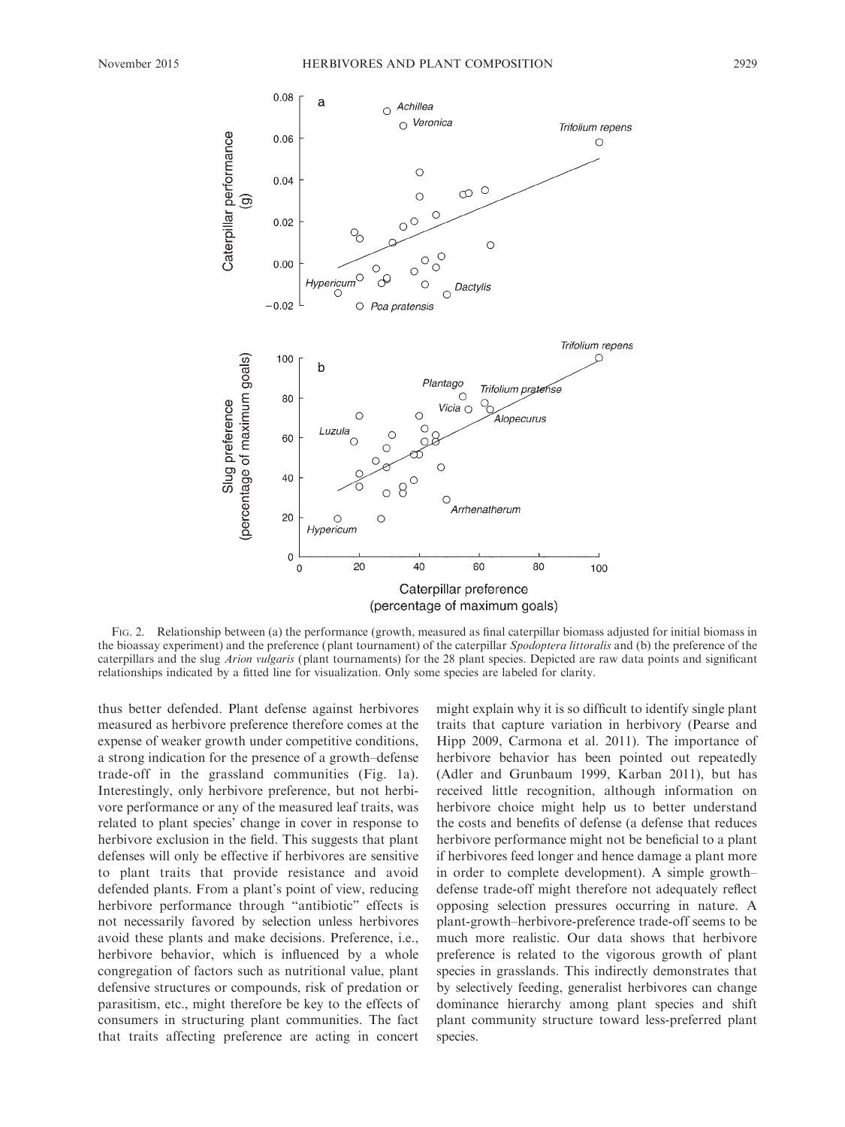

FIG. 2. Relationship between (a) the performance (growth, measured as final caterpillar biomass adjusted for initial biomass in the bioassay experiment) and the preference (plant tournament) of the caterpillar Spodoptera littoralis and (b) the preference of the caterpillars and the slug Arion vulgaris (plant tournaments) for the 28 plant species. Depicted are raw data points and significant relationships indicated by a fitted line for visualization. Only some species are labeled for clarity.

thus better defended. Plant defense against herbivores measured as herbivore preference therefore comes at the expense of weaker growth under competitive conditions, a strong indication for the presence of a growth–defense trade-off in the grassland communities (Fig. 1a). Interestingly, only herbivore preference, but not herbivore performance or any of the measured leaf traits, was related to plant species' change in cover in response to herbivore exclusion in the field. This suggests that plant defenses will only be effective if herbivores are sensitive to plant traits that provide resistance and avoid defended plants. From a plant's point of view, reducing herbivore performance through ''antibiotic'' effects is not necessarily favored by selection unless herbivores avoid these plants and make decisions. Preference, i.e., herbivore behavior, which is influenced by a whole congregation of factors such as nutritional value, plant defensive structures or compounds, risk of predation or parasitism, etc., might therefore be key to the effects of consumers in structuring plant communities. The fact that traits affecting preference are acting in concert

might explain why it is so difficult to identify single plant traits that capture variation in herbivory (Pearse and Hipp 2009, Carmona et al. 2011). The importance of herbivore behavior has been pointed out repeatedly (Adler and Grunbaum 1999, Karban 2011), but has received little recognition, although information on herbivore choice might help us to better understand the costs and benefits of defense (a defense that reduces herbivore performance might not be beneficial to a plant if herbivores feed longer and hence damage a plant more in order to complete development). A simple growth– defense trade-off might therefore not adequately reflect opposing selection pressures occurring in nature. A plant-growth–herbivore-preference trade-off seems to be much more realistic. Our data shows that herbivore preference is related to the vigorous growth of plant species in grasslands. This indirectly demonstrates that by selectively feeding, generalist herbivores can change dominance hierarchy among plant species and shift plant community structure toward less-preferred plant species.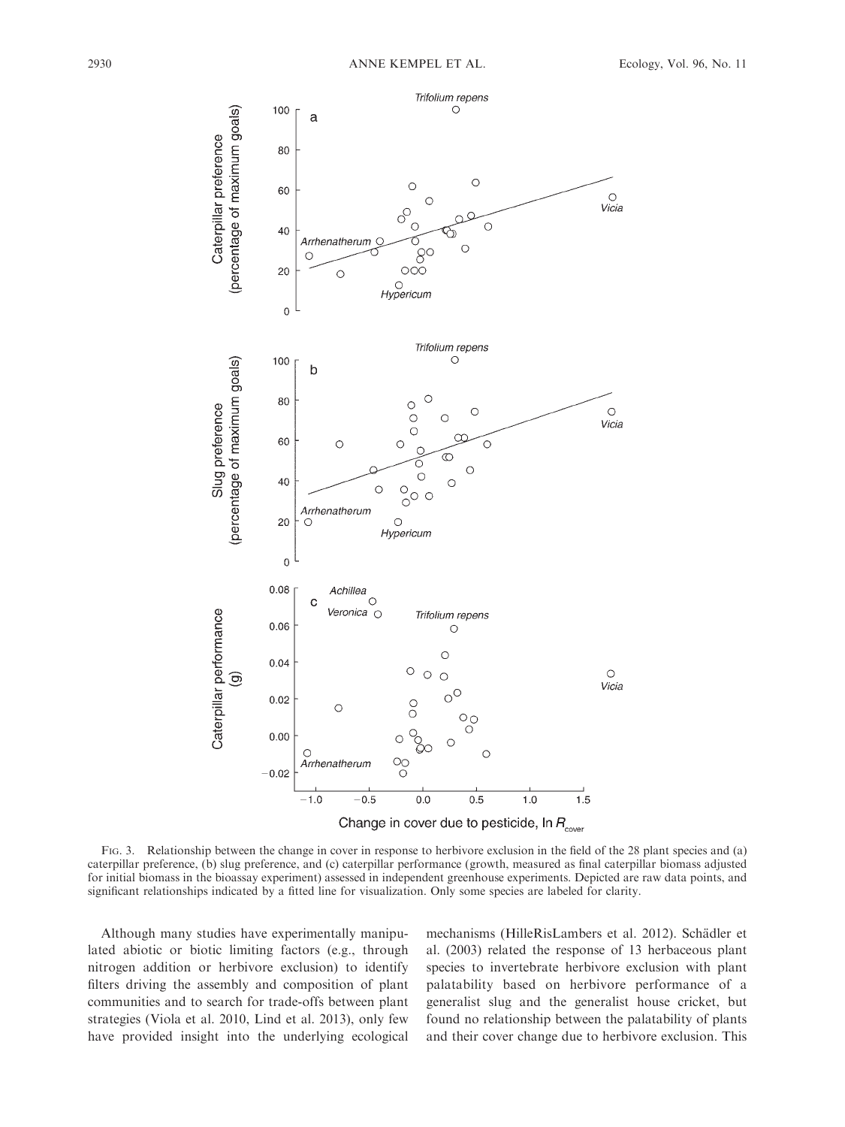

FIG. 3. Relationship between the change in cover in response to herbivore exclusion in the field of the 28 plant species and (a) caterpillar preference, (b) slug preference, and (c) caterpillar performance (growth, measured as final caterpillar biomass adjusted for initial biomass in the bioassay experiment) assessed in independent greenhouse experiments. Depicted are raw data points, and significant relationships indicated by a fitted line for visualization. Only some species are labeled for clarity.

Although many studies have experimentally manipulated abiotic or biotic limiting factors (e.g., through nitrogen addition or herbivore exclusion) to identify filters driving the assembly and composition of plant communities and to search for trade-offs between plant strategies (Viola et al. 2010, Lind et al. 2013), only few have provided insight into the underlying ecological mechanisms (HilleRisLambers et al. 2012). Schädler et al. (2003) related the response of 13 herbaceous plant species to invertebrate herbivore exclusion with plant palatability based on herbivore performance of a generalist slug and the generalist house cricket, but found no relationship between the palatability of plants and their cover change due to herbivore exclusion. This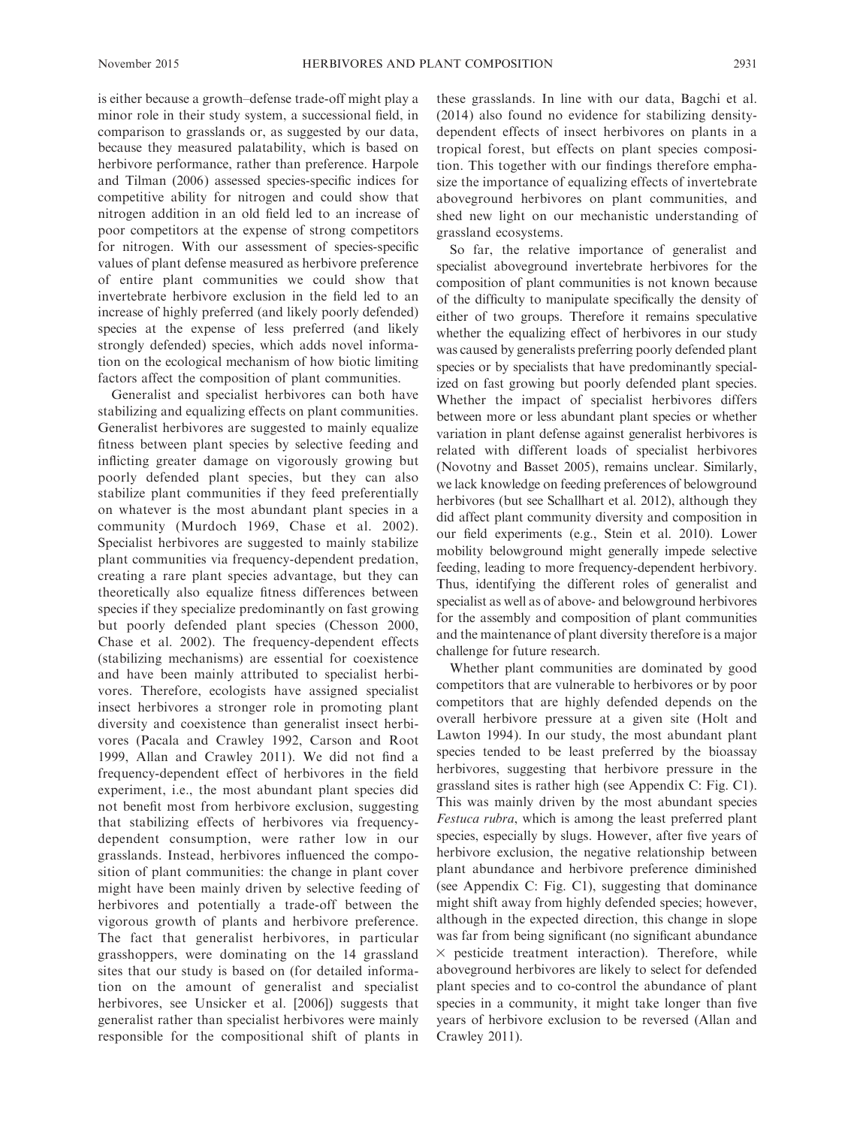is either because a growth–defense trade-off might play a minor role in their study system, a successional field, in comparison to grasslands or, as suggested by our data, because they measured palatability, which is based on herbivore performance, rather than preference. Harpole and Tilman (2006) assessed species-specific indices for competitive ability for nitrogen and could show that nitrogen addition in an old field led to an increase of poor competitors at the expense of strong competitors for nitrogen. With our assessment of species-specific values of plant defense measured as herbivore preference of entire plant communities we could show that invertebrate herbivore exclusion in the field led to an increase of highly preferred (and likely poorly defended) species at the expense of less preferred (and likely strongly defended) species, which adds novel information on the ecological mechanism of how biotic limiting factors affect the composition of plant communities.

Generalist and specialist herbivores can both have stabilizing and equalizing effects on plant communities. Generalist herbivores are suggested to mainly equalize fitness between plant species by selective feeding and inflicting greater damage on vigorously growing but poorly defended plant species, but they can also stabilize plant communities if they feed preferentially on whatever is the most abundant plant species in a community (Murdoch 1969, Chase et al. 2002). Specialist herbivores are suggested to mainly stabilize plant communities via frequency-dependent predation, creating a rare plant species advantage, but they can theoretically also equalize fitness differences between species if they specialize predominantly on fast growing but poorly defended plant species (Chesson 2000, Chase et al. 2002). The frequency-dependent effects (stabilizing mechanisms) are essential for coexistence and have been mainly attributed to specialist herbivores. Therefore, ecologists have assigned specialist insect herbivores a stronger role in promoting plant diversity and coexistence than generalist insect herbivores (Pacala and Crawley 1992, Carson and Root 1999, Allan and Crawley 2011). We did not find a frequency-dependent effect of herbivores in the field experiment, i.e., the most abundant plant species did not benefit most from herbivore exclusion, suggesting that stabilizing effects of herbivores via frequencydependent consumption, were rather low in our grasslands. Instead, herbivores influenced the composition of plant communities: the change in plant cover might have been mainly driven by selective feeding of herbivores and potentially a trade-off between the vigorous growth of plants and herbivore preference. The fact that generalist herbivores, in particular grasshoppers, were dominating on the 14 grassland sites that our study is based on (for detailed information on the amount of generalist and specialist herbivores, see Unsicker et al. [2006]) suggests that generalist rather than specialist herbivores were mainly responsible for the compositional shift of plants in these grasslands. In line with our data, Bagchi et al. (2014) also found no evidence for stabilizing densitydependent effects of insect herbivores on plants in a tropical forest, but effects on plant species composition. This together with our findings therefore emphasize the importance of equalizing effects of invertebrate aboveground herbivores on plant communities, and shed new light on our mechanistic understanding of grassland ecosystems.

So far, the relative importance of generalist and specialist aboveground invertebrate herbivores for the composition of plant communities is not known because of the difficulty to manipulate specifically the density of either of two groups. Therefore it remains speculative whether the equalizing effect of herbivores in our study was caused by generalists preferring poorly defended plant species or by specialists that have predominantly specialized on fast growing but poorly defended plant species. Whether the impact of specialist herbivores differs between more or less abundant plant species or whether variation in plant defense against generalist herbivores is related with different loads of specialist herbivores (Novotny and Basset 2005), remains unclear. Similarly, we lack knowledge on feeding preferences of belowground herbivores (but see Schallhart et al. 2012), although they did affect plant community diversity and composition in our field experiments (e.g., Stein et al. 2010). Lower mobility belowground might generally impede selective feeding, leading to more frequency-dependent herbivory. Thus, identifying the different roles of generalist and specialist as well as of above- and belowground herbivores for the assembly and composition of plant communities and the maintenance of plant diversity therefore is a major challenge for future research.

Whether plant communities are dominated by good competitors that are vulnerable to herbivores or by poor competitors that are highly defended depends on the overall herbivore pressure at a given site (Holt and Lawton 1994). In our study, the most abundant plant species tended to be least preferred by the bioassay herbivores, suggesting that herbivore pressure in the grassland sites is rather high (see Appendix C: Fig. C1). This was mainly driven by the most abundant species Festuca rubra, which is among the least preferred plant species, especially by slugs. However, after five years of herbivore exclusion, the negative relationship between plant abundance and herbivore preference diminished (see Appendix C: Fig. C1), suggesting that dominance might shift away from highly defended species; however, although in the expected direction, this change in slope was far from being significant (no significant abundance  $\times$  pesticide treatment interaction). Therefore, while aboveground herbivores are likely to select for defended plant species and to co-control the abundance of plant species in a community, it might take longer than five years of herbivore exclusion to be reversed (Allan and Crawley 2011).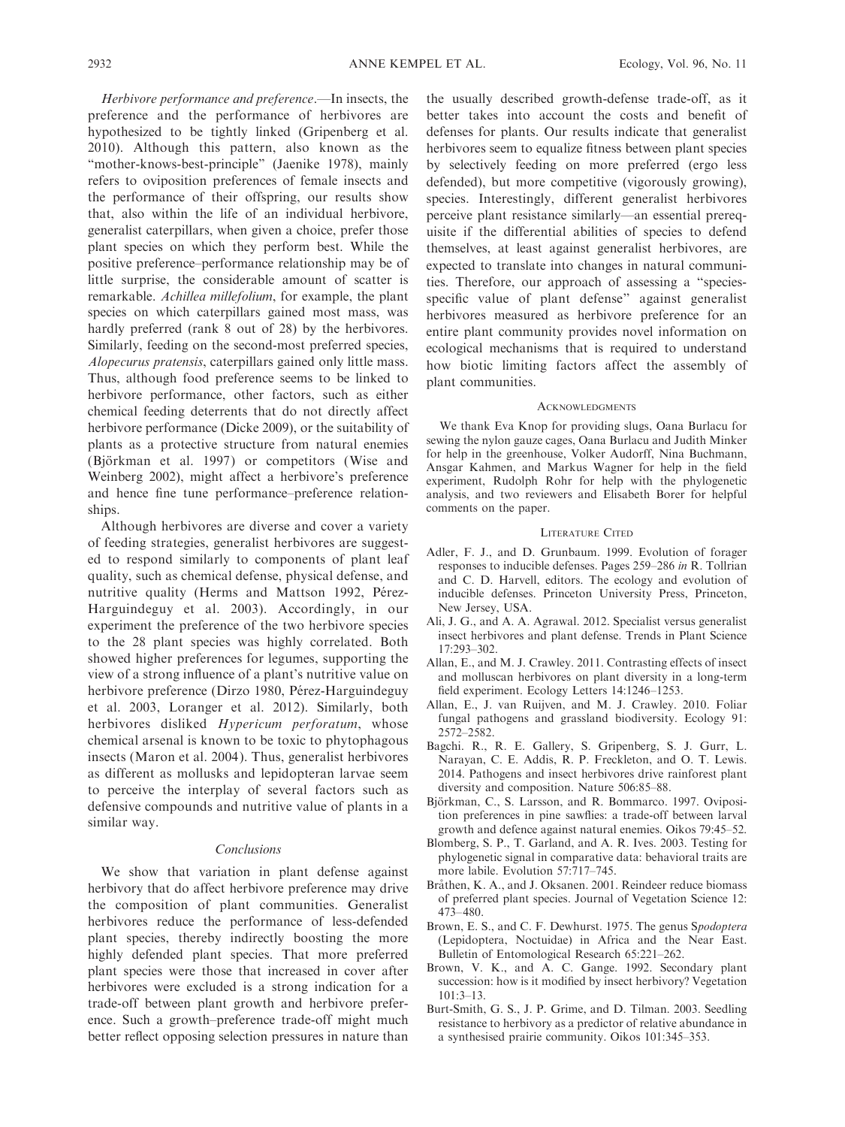Herbivore performance and preference.—In insects, the preference and the performance of herbivores are hypothesized to be tightly linked (Gripenberg et al. 2010). Although this pattern, also known as the "mother-knows-best-principle" (Jaenike 1978), mainly refers to oviposition preferences of female insects and the performance of their offspring, our results show that, also within the life of an individual herbivore, generalist caterpillars, when given a choice, prefer those plant species on which they perform best. While the positive preference–performance relationship may be of little surprise, the considerable amount of scatter is remarkable. Achillea millefolium, for example, the plant species on which caterpillars gained most mass, was hardly preferred (rank 8 out of 28) by the herbivores. Similarly, feeding on the second-most preferred species, Alopecurus pratensis, caterpillars gained only little mass. Thus, although food preference seems to be linked to herbivore performance, other factors, such as either chemical feeding deterrents that do not directly affect herbivore performance (Dicke 2009), or the suitability of plants as a protective structure from natural enemies (Björkman et al. 1997) or competitors (Wise and Weinberg 2002), might affect a herbivore's preference and hence fine tune performance–preference relationships.

Although herbivores are diverse and cover a variety of feeding strategies, generalist herbivores are suggested to respond similarly to components of plant leaf quality, such as chemical defense, physical defense, and nutritive quality (Herms and Mattson 1992, Pérez-Harguindeguy et al. 2003). Accordingly, in our experiment the preference of the two herbivore species to the 28 plant species was highly correlated. Both showed higher preferences for legumes, supporting the view of a strong influence of a plant's nutritive value on herbivore preference (Dirzo 1980, Pérez-Harguindeguy et al. 2003, Loranger et al. 2012). Similarly, both herbivores disliked Hypericum perforatum, whose chemical arsenal is known to be toxic to phytophagous insects (Maron et al. 2004). Thus, generalist herbivores as different as mollusks and lepidopteran larvae seem to perceive the interplay of several factors such as defensive compounds and nutritive value of plants in a similar way.

### Conclusions

We show that variation in plant defense against herbivory that do affect herbivore preference may drive the composition of plant communities. Generalist herbivores reduce the performance of less-defended plant species, thereby indirectly boosting the more highly defended plant species. That more preferred plant species were those that increased in cover after herbivores were excluded is a strong indication for a trade-off between plant growth and herbivore preference. Such a growth–preference trade-off might much better reflect opposing selection pressures in nature than

the usually described growth-defense trade-off, as it better takes into account the costs and benefit of defenses for plants. Our results indicate that generalist herbivores seem to equalize fitness between plant species by selectively feeding on more preferred (ergo less defended), but more competitive (vigorously growing), species. Interestingly, different generalist herbivores perceive plant resistance similarly—an essential prerequisite if the differential abilities of species to defend themselves, at least against generalist herbivores, are expected to translate into changes in natural communities. Therefore, our approach of assessing a ''speciesspecific value of plant defense'' against generalist herbivores measured as herbivore preference for an entire plant community provides novel information on ecological mechanisms that is required to understand how biotic limiting factors affect the assembly of plant communities.

#### ACKNOWLEDGMENTS

We thank Eva Knop for providing slugs, Oana Burlacu for sewing the nylon gauze cages, Oana Burlacu and Judith Minker for help in the greenhouse, Volker Audorff, Nina Buchmann, Ansgar Kahmen, and Markus Wagner for help in the field experiment, Rudolph Rohr for help with the phylogenetic analysis, and two reviewers and Elisabeth Borer for helpful comments on the paper.

#### LITERATURE CITED

- Adler, F. J., and D. Grunbaum. 1999. Evolution of forager responses to inducible defenses. Pages 259–286 in R. Tollrian and C. D. Harvell, editors. The ecology and evolution of inducible defenses. Princeton University Press, Princeton, New Jersey, USA.
- Ali, J. G., and A. A. Agrawal. 2012. Specialist versus generalist insect herbivores and plant defense. Trends in Plant Science 17:293–302.
- Allan, E., and M. J. Crawley. 2011. Contrasting effects of insect and molluscan herbivores on plant diversity in a long-term field experiment. Ecology Letters 14:1246–1253.
- Allan, E., J. van Ruijven, and M. J. Crawley. 2010. Foliar fungal pathogens and grassland biodiversity. Ecology 91: 2572–2582.
- Bagchi. R., R. E. Gallery, S. Gripenberg, S. J. Gurr, L. Narayan, C. E. Addis, R. P. Freckleton, and O. T. Lewis. 2014. Pathogens and insect herbivores drive rainforest plant diversity and composition. Nature 506:85–88.
- Björkman, C., S. Larsson, and R. Bommarco. 1997. Oviposition preferences in pine sawflies: a trade-off between larval growth and defence against natural enemies. Oikos 79:45–52.
- Blomberg, S. P., T. Garland, and A. R. Ives. 2003. Testing for phylogenetic signal in comparative data: behavioral traits are more labile. Evolution 57:717–745.
- Bråthen, K. A., and J. Oksanen. 2001. Reindeer reduce biomass of preferred plant species. Journal of Vegetation Science 12: 473–480.
- Brown, E. S., and C. F. Dewhurst. 1975. The genus Spodoptera (Lepidoptera, Noctuidae) in Africa and the Near East. Bulletin of Entomological Research 65:221–262.
- Brown, V. K., and A. C. Gange. 1992. Secondary plant succession: how is it modified by insect herbivory? Vegetation  $101.3 - 13$
- Burt-Smith, G. S., J. P. Grime, and D. Tilman. 2003. Seedling resistance to herbivory as a predictor of relative abundance in a synthesised prairie community. Oikos 101:345–353.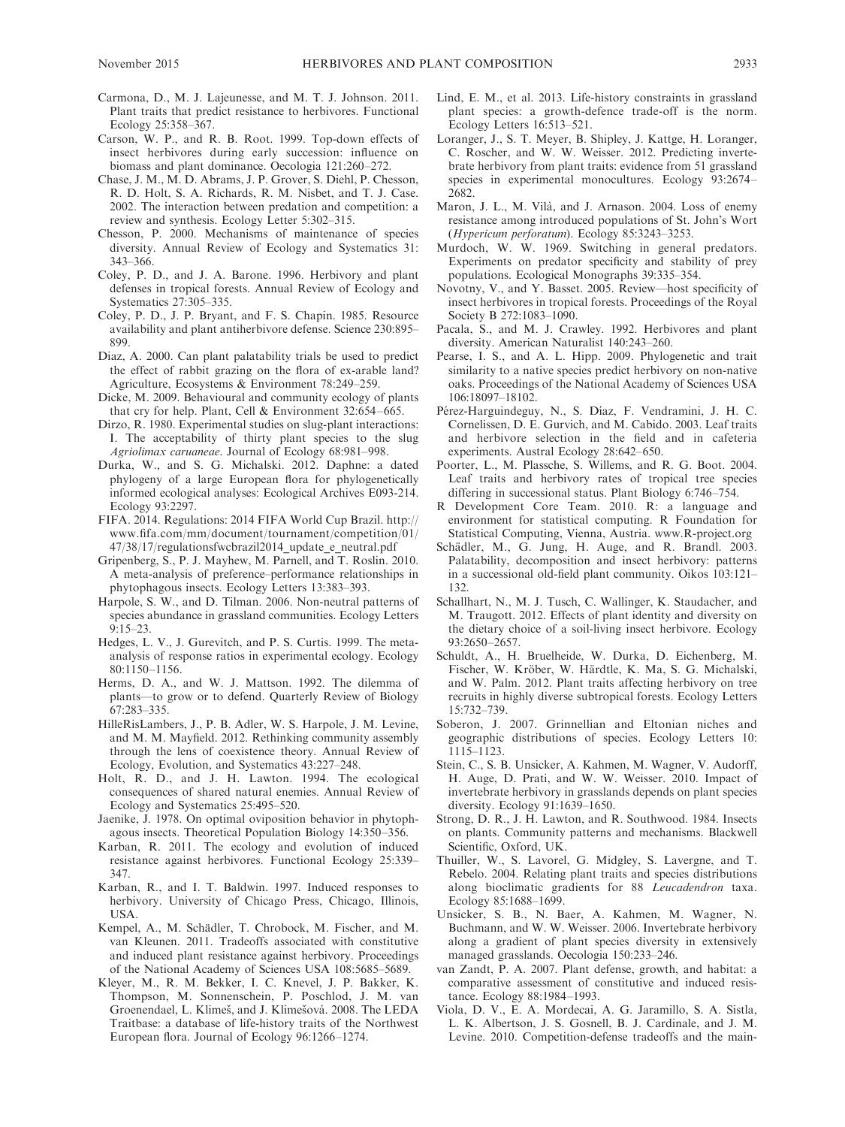- Carmona, D., M. J. Lajeunesse, and M. T. J. Johnson. 2011. Plant traits that predict resistance to herbivores. Functional Ecology 25:358–367.
- Carson, W. P., and R. B. Root. 1999. Top-down effects of insect herbivores during early succession: influence on biomass and plant dominance. Oecologia 121:260–272.
- Chase, J. M., M. D. Abrams, J. P. Grover, S. Diehl, P. Chesson, R. D. Holt, S. A. Richards, R. M. Nisbet, and T. J. Case. 2002. The interaction between predation and competition: a review and synthesis. Ecology Letter 5:302–315.
- Chesson, P. 2000. Mechanisms of maintenance of species diversity. Annual Review of Ecology and Systematics 31: 343–366.
- Coley, P. D., and J. A. Barone. 1996. Herbivory and plant defenses in tropical forests. Annual Review of Ecology and Systematics 27:305–335.
- Coley, P. D., J. P. Bryant, and F. S. Chapin. 1985. Resource availability and plant antiherbivore defense. Science 230:895– 899.
- Diaz, A. 2000. Can plant palatability trials be used to predict the effect of rabbit grazing on the flora of ex-arable land? Agriculture, Ecosystems & Environment 78:249–259.
- Dicke, M. 2009. Behavioural and community ecology of plants that cry for help. Plant, Cell & Environment 32:654–665.
- Dirzo, R. 1980. Experimental studies on slug-plant interactions: I. The acceptability of thirty plant species to the slug Agriolimax caruaneae. Journal of Ecology 68:981–998.
- Durka, W., and S. G. Michalski. 2012. Daphne: a dated phylogeny of a large European flora for phylogenetically informed ecological analyses: Ecological Archives E093-214. Ecology 93:2297.
- FIFA. 2014. Regulations: 2014 FIFA World Cup Brazil. http:// www.fifa.com/mm/document/tournament/competition/01/ 47/38/17/regulationsfwcbrazil2014\_update\_e\_neutral.pdf
- Gripenberg, S., P. J. Mayhew, M. Parnell, and T. Roslin. 2010. A meta-analysis of preference–performance relationships in phytophagous insects. Ecology Letters 13:383–393.
- Harpole, S. W., and D. Tilman. 2006. Non-neutral patterns of species abundance in grassland communities. Ecology Letters 9:15–23.
- Hedges, L. V., J. Gurevitch, and P. S. Curtis. 1999. The metaanalysis of response ratios in experimental ecology. Ecology 80:1150–1156.
- Herms, D. A., and W. J. Mattson. 1992. The dilemma of plants—to grow or to defend. Quarterly Review of Biology 67:283–335.
- HilleRisLambers, J., P. B. Adler, W. S. Harpole, J. M. Levine, and M. M. Mayfield. 2012. Rethinking community assembly through the lens of coexistence theory. Annual Review of Ecology, Evolution, and Systematics 43:227–248.
- Holt, R. D., and J. H. Lawton. 1994. The ecological consequences of shared natural enemies. Annual Review of Ecology and Systematics 25:495–520.
- Jaenike, J. 1978. On optimal oviposition behavior in phytophagous insects. Theoretical Population Biology 14:350–356.
- Karban, R. 2011. The ecology and evolution of induced resistance against herbivores. Functional Ecology 25:339– 347.
- Karban, R., and I. T. Baldwin. 1997. Induced responses to herbivory. University of Chicago Press, Chicago, Illinois, USA.
- Kempel, A., M. Schädler, T. Chrobock, M. Fischer, and M. van Kleunen. 2011. Tradeoffs associated with constitutive and induced plant resistance against herbivory. Proceedings of the National Academy of Sciences USA 108:5685–5689.
- Kleyer, M., R. M. Bekker, I. C. Knevel, J. P. Bakker, K. Thompson, M. Sonnenschein, P. Poschlod, J. M. van Groenendael, L. Klimeš, and J. Klimešová. 2008. The LEDA Traitbase: a database of life-history traits of the Northwest European flora. Journal of Ecology 96:1266–1274.
- Lind, E. M., et al. 2013. Life-history constraints in grassland plant species: a growth-defence trade-off is the norm. Ecology Letters 16:513–521.
- Loranger, J., S. T. Meyer, B. Shipley, J. Kattge, H. Loranger, C. Roscher, and W. W. Weisser. 2012. Predicting invertebrate herbivory from plant traits: evidence from 51 grassland species in experimental monocultures. Ecology 93:2674– 2682.
- Maron, J. L., M. Vilà, and J. Arnason. 2004. Loss of enemy resistance among introduced populations of St. John's Wort (Hypericum perforatum). Ecology 85:3243–3253.
- Murdoch, W. W. 1969. Switching in general predators. Experiments on predator specificity and stability of prey populations. Ecological Monographs 39:335–354.
- Novotny, V., and Y. Basset. 2005. Review—host specificity of insect herbivores in tropical forests. Proceedings of the Royal Society B 272:1083–1090.
- Pacala, S., and M. J. Crawley. 1992. Herbivores and plant diversity. American Naturalist 140:243–260.
- Pearse, I. S., and A. L. Hipp. 2009. Phylogenetic and trait similarity to a native species predict herbivory on non-native oaks. Proceedings of the National Academy of Sciences USA 106:18097–18102.
- Pérez-Harguindeguy, N., S. Díaz, F. Vendramini, J. H. C. Cornelissen, D. E. Gurvich, and M. Cabido. 2003. Leaf traits and herbivore selection in the field and in cafeteria experiments. Austral Ecology 28:642–650.
- Poorter, L., M. Plassche, S. Willems, and R. G. Boot. 2004. Leaf traits and herbivory rates of tropical tree species differing in successional status. Plant Biology 6:746–754.
- R Development Core Team. 2010. R: a language and environment for statistical computing. R Foundation for Statistical Computing, Vienna, Austria. www.R-project.org
- Schädler, M., G. Jung, H. Auge, and R. Brandl. 2003. Palatability, decomposition and insect herbivory: patterns in a successional old-field plant community. Oikos 103:121– 132.
- Schallhart, N., M. J. Tusch, C. Wallinger, K. Staudacher, and M. Traugott. 2012. Effects of plant identity and diversity on the dietary choice of a soil-living insect herbivore. Ecology 93:2650–2657.
- Schuldt, A., H. Bruelheide, W. Durka, D. Eichenberg, M. Fischer, W. Kröber, W. Härdtle, K. Ma, S. G. Michalski, and W. Palm. 2012. Plant traits affecting herbivory on tree recruits in highly diverse subtropical forests. Ecology Letters 15:732–739.
- Soberon, J. 2007. Grinnellian and Eltonian niches and geographic distributions of species. Ecology Letters 10: 1115–1123.
- Stein, C., S. B. Unsicker, A. Kahmen, M. Wagner, V. Audorff, H. Auge, D. Prati, and W. W. Weisser. 2010. Impact of invertebrate herbivory in grasslands depends on plant species diversity. Ecology 91:1639–1650.
- Strong, D. R., J. H. Lawton, and R. Southwood. 1984. Insects on plants. Community patterns and mechanisms. Blackwell Scientific, Oxford, UK.
- Thuiller, W., S. Lavorel, G. Midgley, S. Lavergne, and T. Rebelo. 2004. Relating plant traits and species distributions along bioclimatic gradients for 88 Leucadendron taxa. Ecology 85:1688–1699.
- Unsicker, S. B., N. Baer, A. Kahmen, M. Wagner, N. Buchmann, and W. W. Weisser. 2006. Invertebrate herbivory along a gradient of plant species diversity in extensively managed grasslands. Oecologia 150:233–246.
- van Zandt, P. A. 2007. Plant defense, growth, and habitat: a comparative assessment of constitutive and induced resistance. Ecology 88:1984–1993.
- Viola, D. V., E. A. Mordecai, A. G. Jaramillo, S. A. Sistla, L. K. Albertson, J. S. Gosnell, B. J. Cardinale, and J. M. Levine. 2010. Competition-defense tradeoffs and the main-